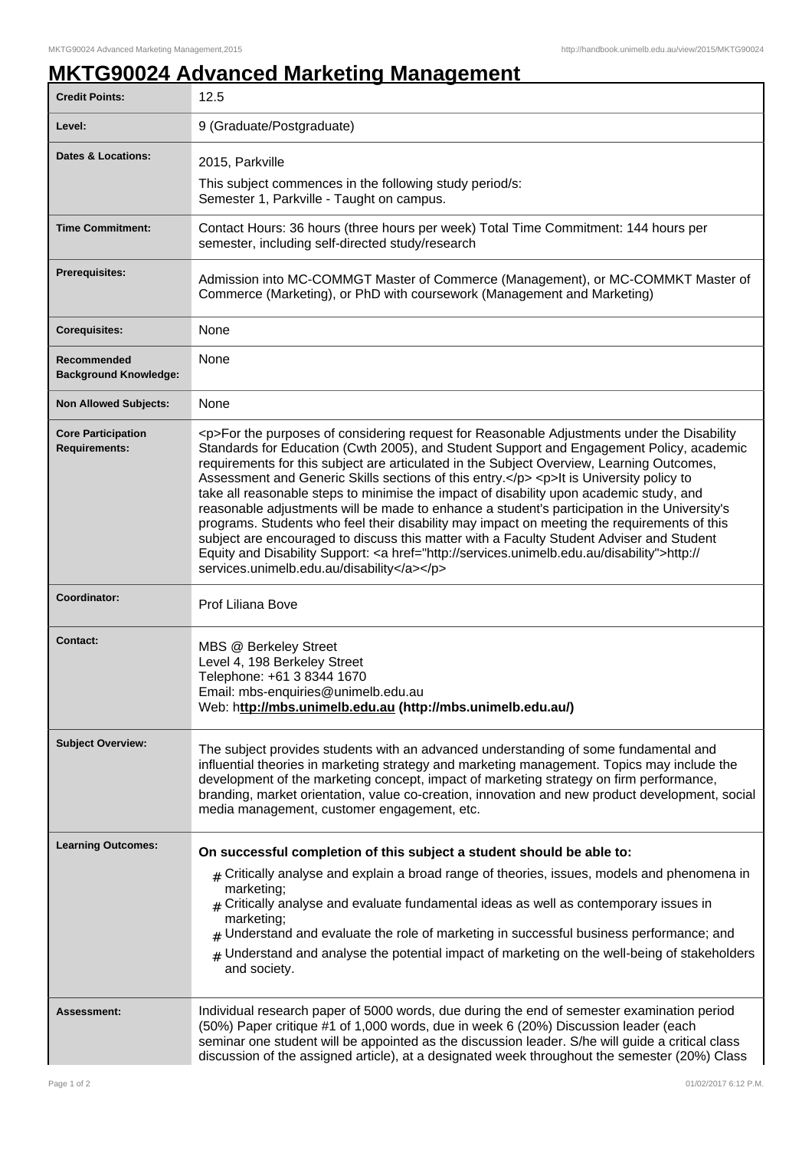## **MKTG90024 Advanced Marketing Management**

| <b>Credit Points:</b>                             | 12.5                                                                                                                                                                                                                                                                                                                                                                                                                                                                                                                                                                                                                                                                                                                                                                                                                                                                                                                         |
|---------------------------------------------------|------------------------------------------------------------------------------------------------------------------------------------------------------------------------------------------------------------------------------------------------------------------------------------------------------------------------------------------------------------------------------------------------------------------------------------------------------------------------------------------------------------------------------------------------------------------------------------------------------------------------------------------------------------------------------------------------------------------------------------------------------------------------------------------------------------------------------------------------------------------------------------------------------------------------------|
| Level:                                            | 9 (Graduate/Postgraduate)                                                                                                                                                                                                                                                                                                                                                                                                                                                                                                                                                                                                                                                                                                                                                                                                                                                                                                    |
| <b>Dates &amp; Locations:</b>                     | 2015, Parkville<br>This subject commences in the following study period/s:                                                                                                                                                                                                                                                                                                                                                                                                                                                                                                                                                                                                                                                                                                                                                                                                                                                   |
|                                                   | Semester 1, Parkville - Taught on campus.                                                                                                                                                                                                                                                                                                                                                                                                                                                                                                                                                                                                                                                                                                                                                                                                                                                                                    |
| <b>Time Commitment:</b>                           | Contact Hours: 36 hours (three hours per week) Total Time Commitment: 144 hours per<br>semester, including self-directed study/research                                                                                                                                                                                                                                                                                                                                                                                                                                                                                                                                                                                                                                                                                                                                                                                      |
| <b>Prerequisites:</b>                             | Admission into MC-COMMGT Master of Commerce (Management), or MC-COMMKT Master of<br>Commerce (Marketing), or PhD with coursework (Management and Marketing)                                                                                                                                                                                                                                                                                                                                                                                                                                                                                                                                                                                                                                                                                                                                                                  |
| <b>Corequisites:</b>                              | None                                                                                                                                                                                                                                                                                                                                                                                                                                                                                                                                                                                                                                                                                                                                                                                                                                                                                                                         |
| Recommended<br><b>Background Knowledge:</b>       | None                                                                                                                                                                                                                                                                                                                                                                                                                                                                                                                                                                                                                                                                                                                                                                                                                                                                                                                         |
| <b>Non Allowed Subjects:</b>                      | None                                                                                                                                                                                                                                                                                                                                                                                                                                                                                                                                                                                                                                                                                                                                                                                                                                                                                                                         |
| <b>Core Participation</b><br><b>Requirements:</b> | <p>For the purposes of considering request for Reasonable Adjustments under the Disability<br/>Standards for Education (Cwth 2005), and Student Support and Engagement Policy, academic<br/>requirements for this subject are articulated in the Subject Overview, Learning Outcomes,<br/>Assessment and Generic Skills sections of this entry.</p> <p>lt is University policy to<br/>take all reasonable steps to minimise the impact of disability upon academic study, and<br/>reasonable adjustments will be made to enhance a student's participation in the University's<br/>programs. Students who feel their disability may impact on meeting the requirements of this<br/>subject are encouraged to discuss this matter with a Faculty Student Adviser and Student<br/>Equity and Disability Support: &lt; a href="http://services.unimelb.edu.au/disability"&gt;http://<br/>services.unimelb.edu.au/disability</p> |
| Coordinator:                                      | Prof Liliana Bove                                                                                                                                                                                                                                                                                                                                                                                                                                                                                                                                                                                                                                                                                                                                                                                                                                                                                                            |
| Contact:                                          | MBS @ Berkeley Street<br>Level 4, 198 Berkeley Street<br>Telephone: +61 3 8344 1670<br>Email: mbs-enquiries@unimelb.edu.au<br>Web: http://mbs.unimelb.edu.au (http://mbs.unimelb.edu.au/)                                                                                                                                                                                                                                                                                                                                                                                                                                                                                                                                                                                                                                                                                                                                    |
| <b>Subject Overview:</b>                          | The subject provides students with an advanced understanding of some fundamental and<br>influential theories in marketing strategy and marketing management. Topics may include the<br>development of the marketing concept, impact of marketing strategy on firm performance,<br>branding, market orientation, value co-creation, innovation and new product development, social<br>media management, customer engagement, etc.                                                                                                                                                                                                                                                                                                                                                                                                                                                                                             |
| <b>Learning Outcomes:</b>                         | On successful completion of this subject a student should be able to:                                                                                                                                                                                                                                                                                                                                                                                                                                                                                                                                                                                                                                                                                                                                                                                                                                                        |
|                                                   | $_{\text{\#}}$ Critically analyse and explain a broad range of theories, issues, models and phenomena in<br>marketing;<br>$#$ Critically analyse and evaluate fundamental ideas as well as contemporary issues in<br>marketing;<br>$_{\rm #}$ Understand and evaluate the role of marketing in successful business performance; and<br>$#$ Understand and analyse the potential impact of marketing on the well-being of stakeholders<br>and society.                                                                                                                                                                                                                                                                                                                                                                                                                                                                        |
| Assessment:                                       | Individual research paper of 5000 words, due during the end of semester examination period<br>(50%) Paper critique #1 of 1,000 words, due in week 6 (20%) Discussion leader (each<br>seminar one student will be appointed as the discussion leader. S/he will guide a critical class<br>discussion of the assigned article), at a designated week throughout the semester (20%) Class                                                                                                                                                                                                                                                                                                                                                                                                                                                                                                                                       |